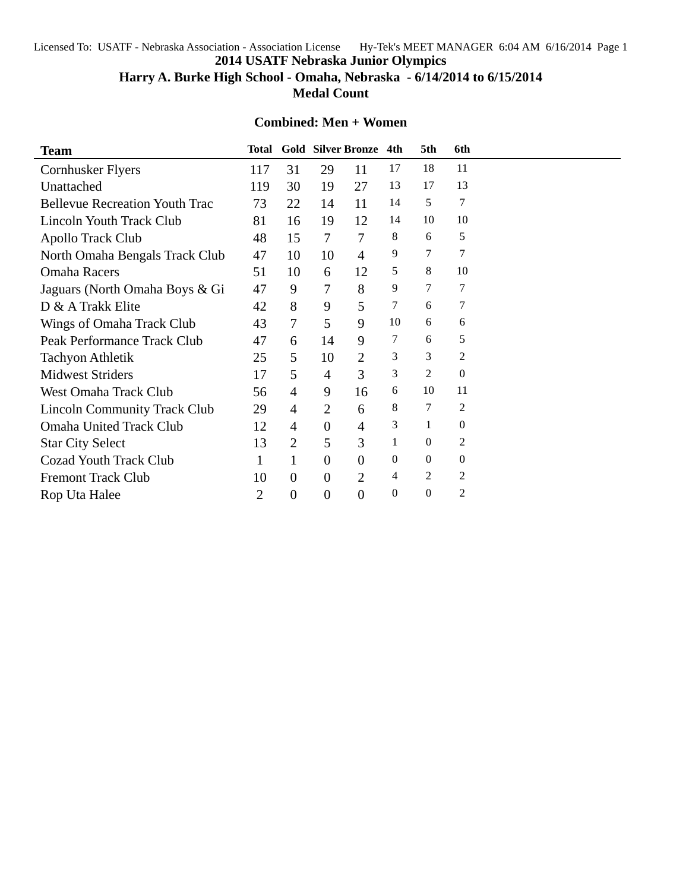Licensed To: USATF - Nebraska Association - Association License Hy-Tek's MEET MANAGER 6:04 AM 6/16/2014 Page 1

**2014 USATF Nebraska Junior Olympics**

**Harry A. Burke High School - Omaha, Nebraska - 6/14/2014 to 6/15/2014**

**Medal Count**

## **Combined: Men + Women**

| <b>Team</b>                           | <b>Total</b> |                |                  | <b>Gold Silver Bronze</b> | 4th            | 5th            | 6th              |  |
|---------------------------------------|--------------|----------------|------------------|---------------------------|----------------|----------------|------------------|--|
| <b>Cornhusker Flyers</b>              | 117          | 31             | 29               | 11                        | 17             | 18             | 11               |  |
| Unattached                            | 119          | 30             | 19               | 27                        | 13             | 17             | 13               |  |
| <b>Bellevue Recreation Youth Trac</b> | 73           | 22             | 14               | 11                        | 14             | 5              | 7                |  |
| Lincoln Youth Track Club              | 81           | 16             | 19               | 12                        | 14             | 10             | 10               |  |
| Apollo Track Club                     | 48           | 15             | $\tau$           | 7                         | 8              | 6              | 5                |  |
| North Omaha Bengals Track Club        | 47           | 10             | 10               | $\overline{4}$            | 9              | 7              | 7                |  |
| <b>Omaha Racers</b>                   | 51           | 10             | 6                | 12                        | 5              | 8              | 10               |  |
| Jaguars (North Omaha Boys & Gi        | 47           | 9              | 7                | 8                         | 9              | 7              | 7                |  |
| D & A Trakk Elite                     | 42           | 8              | 9                | 5                         | 7              | 6              | 7                |  |
| Wings of Omaha Track Club             | 43           | 7              | 5                | 9                         | 10             | 6              | 6                |  |
| Peak Performance Track Club           | 47           | 6              | 14               | 9                         | 7              | 6              | 5                |  |
| <b>Tachyon Athletik</b>               | 25           | 5              | 10               | $\overline{2}$            | 3              | 3              | 2                |  |
| <b>Midwest Striders</b>               | 17           | 5              | $\overline{4}$   | 3                         | 3              | 2              | $\boldsymbol{0}$ |  |
| <b>West Omaha Track Club</b>          | 56           | 4              | 9                | 16                        | 6              | 10             | 11               |  |
| <b>Lincoln Community Track Club</b>   | 29           | 4              | 2                | 6                         | 8              | 7              | 2                |  |
| <b>Omaha United Track Club</b>        | 12           | 4              | $\overline{0}$   | 4                         | 3              | 1              | $\overline{0}$   |  |
| <b>Star City Select</b>               | 13           | $\overline{2}$ | 5                | 3                         | 1              | $\Omega$       | 2                |  |
| <b>Cozad Youth Track Club</b>         | 1            | 1              | $\Omega$         | $\Omega$                  | $\overline{0}$ | $\overline{0}$ | $\boldsymbol{0}$ |  |
| <b>Fremont Track Club</b>             | 10           | $\theta$       | $\overline{0}$   | $\overline{2}$            | 4              | 2              | $\overline{c}$   |  |
| Rop Uta Halee                         | 2            | $\theta$       | $\boldsymbol{0}$ | $\overline{0}$            | $\overline{0}$ | $\overline{0}$ | $\overline{c}$   |  |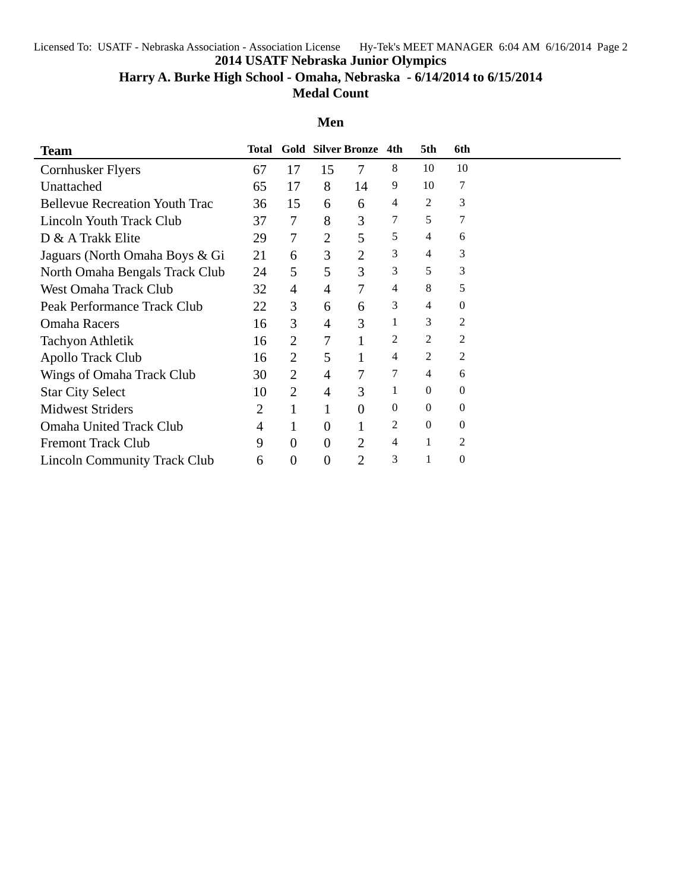Licensed To: USATF - Nebraska Association - Association License Hy-Tek's MEET MANAGER 6:04 AM 6/16/2014 Page 2

**2014 USATF Nebraska Junior Olympics**

**Harry A. Burke High School - Omaha, Nebraska - 6/14/2014 to 6/15/2014**

**Medal Count**

## **Men**

| <b>Team</b>                           | Total |                  |                | <b>Gold Silver Bronze</b> | 4th      | 5th      | 6th      |  |
|---------------------------------------|-------|------------------|----------------|---------------------------|----------|----------|----------|--|
| Cornhusker Flyers                     | 67    | 17               | 15             | 7                         | 8        | 10       | 10       |  |
| Unattached                            | 65    | 17               | 8              | 14                        | 9        | 10       | 7        |  |
| <b>Bellevue Recreation Youth Trac</b> | 36    | 15               | 6              | 6                         | 4        | 2        | 3        |  |
| Lincoln Youth Track Club              | 37    | 7                | 8              | 3                         | 7        | 5        |          |  |
| D & A Trakk Elite                     | 29    | 7                | $\overline{2}$ | 5                         | 5        | 4        | 6        |  |
| Jaguars (North Omaha Boys & Gi        | 21    | 6                | 3              | $\overline{2}$            | 3        | 4        | 3        |  |
| North Omaha Bengals Track Club        | 24    | 5                | 5              | 3                         | 3        | 5        | 3        |  |
| <b>West Omaha Track Club</b>          | 32    | $\overline{4}$   | 4              | 7                         | 4        | 8        | 5        |  |
| Peak Performance Track Club           | 22    | 3                | 6              | 6                         | 3        | 4        | $\theta$ |  |
| <b>Omaha Racers</b>                   | 16    | 3                | 4              | 3                         | 1        | 3        | 2        |  |
| Tachyon Athletik                      | 16    | $\overline{2}$   | 7              |                           | 2        | 2        | 2        |  |
| <b>Apollo Track Club</b>              | 16    | $\overline{2}$   | 5              |                           | 4        | 2        | 2        |  |
| Wings of Omaha Track Club             | 30    | $\overline{2}$   | 4              | 7                         | 7        | 4        | 6        |  |
| <b>Star City Select</b>               | 10    | $\overline{2}$   | 4              | 3                         | 1        | $\theta$ | $\theta$ |  |
| <b>Midwest Striders</b>               | 2     | 1                | 1              | 0                         | $\Omega$ | $\Omega$ | $\Omega$ |  |
| <b>Omaha United Track Club</b>        | 4     | 1                | $\theta$       |                           | 2        | $\Omega$ | $\Omega$ |  |
| <b>Fremont Track Club</b>             | 9     | $\overline{0}$   | $\theta$       | 2                         | 4        |          | 2        |  |
| <b>Lincoln Community Track Club</b>   | 6     | $\boldsymbol{0}$ | $\theta$       | $\overline{2}$            | 3        |          | $\theta$ |  |